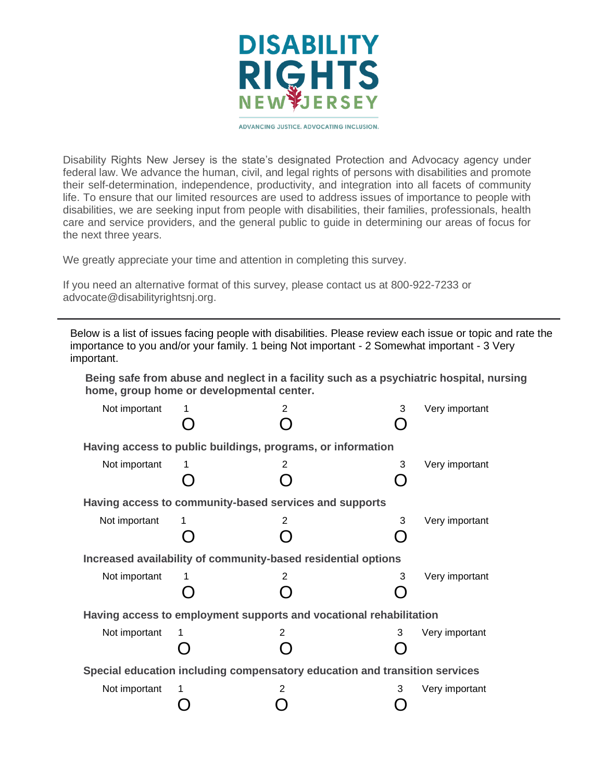

ADVANCING JUSTICE, ADVOCATING INCLUSION.

Disability Rights New Jersey is the state's designated Protection and Advocacy agency under federal law. We advance the human, civil, and legal rights of persons with disabilities and promote their self-determination, independence, productivity, and integration into all facets of community life. To ensure that our limited resources are used to address issues of importance to people with disabilities, we are seeking input from people with disabilities, their families, professionals, health care and service providers, and the general public to guide in determining our areas of focus for the next three years.

We greatly appreciate your time and attention in completing this survey.

If you need an alternative format of this survey, please contact us at 800-922-7233 or advocate@disabilityrightsnj.org.

Below is a list of issues facing people with disabilities. Please review each issue or topic and rate the importance to you and/or your family. 1 being Not important - 2 Somewhat important - 3 Very important.

**Being safe from abuse and neglect in a facility such as a psychiatric hospital, nursing home, group home or developmental center.**

| Not important                                                              |   | 2                                                           | 3 | Very important |  |
|----------------------------------------------------------------------------|---|-------------------------------------------------------------|---|----------------|--|
|                                                                            |   | Having access to public buildings, programs, or information |   |                |  |
| Not important                                                              |   | 2                                                           | 3 | Very important |  |
|                                                                            |   |                                                             |   |                |  |
| Having access to community-based services and supports                     |   |                                                             |   |                |  |
| Not important                                                              | 1 | 2                                                           | 3 | Very important |  |
|                                                                            |   |                                                             |   |                |  |
| Increased availability of community-based residential options              |   |                                                             |   |                |  |
| Not important                                                              |   | 2                                                           | 3 | Very important |  |
|                                                                            |   |                                                             |   |                |  |
| Having access to employment supports and vocational rehabilitation         |   |                                                             |   |                |  |
| Not important                                                              |   | $\overline{2}$                                              | 3 | Very important |  |
|                                                                            |   |                                                             |   |                |  |
| Special education including compensatory education and transition services |   |                                                             |   |                |  |
| Not important                                                              |   | $\overline{2}$                                              | 3 | Very important |  |
|                                                                            |   |                                                             |   |                |  |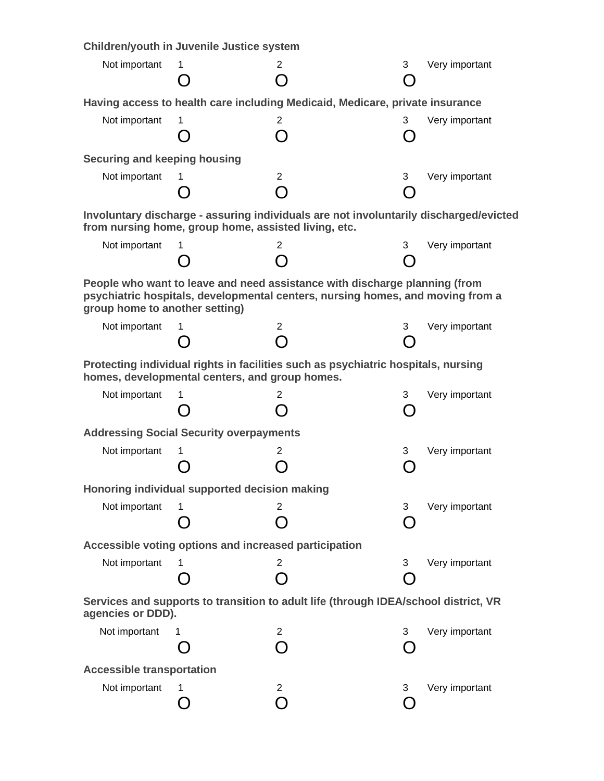|                                                                                                                                                                                                | Children/youth in Juvenile Justice system                                    |                                 |   |                |  |  |
|------------------------------------------------------------------------------------------------------------------------------------------------------------------------------------------------|------------------------------------------------------------------------------|---------------------------------|---|----------------|--|--|
| Not important                                                                                                                                                                                  | 1                                                                            | 2<br>$\Box$                     | 3 | Very important |  |  |
|                                                                                                                                                                                                | Having access to health care including Medicaid, Medicare, private insurance |                                 |   |                |  |  |
| Not important                                                                                                                                                                                  | 1.                                                                           | $\overline{2}$<br>( )           | 3 | Very important |  |  |
| <b>Securing and keeping housing</b>                                                                                                                                                            |                                                                              |                                 |   |                |  |  |
| Not important                                                                                                                                                                                  | 1                                                                            | $\overline{2}$<br>∩             | 3 | Very important |  |  |
| Involuntary discharge - assuring individuals are not involuntarily discharged/evicted<br>from nursing home, group home, assisted living, etc.                                                  |                                                                              |                                 |   |                |  |  |
| Not important                                                                                                                                                                                  | 1                                                                            | 2                               | 3 | Very important |  |  |
| People who want to leave and need assistance with discharge planning (from<br>psychiatric hospitals, developmental centers, nursing homes, and moving from a<br>group home to another setting) |                                                                              |                                 |   |                |  |  |
| Not important                                                                                                                                                                                  | 1                                                                            | $\mathbf{2}^{\prime}$<br>$\cap$ | 3 | Very important |  |  |
| Protecting individual rights in facilities such as psychiatric hospitals, nursing<br>homes, developmental centers, and group homes.                                                            |                                                                              |                                 |   |                |  |  |
| Not important                                                                                                                                                                                  | 1                                                                            | 2<br>$\Box$                     | 3 | Very important |  |  |
| <b>Addressing Social Security overpayments</b>                                                                                                                                                 |                                                                              |                                 |   |                |  |  |
| Not important                                                                                                                                                                                  | 1.                                                                           | 2                               | 3 | Very important |  |  |
| Honoring individual supported decision making                                                                                                                                                  |                                                                              |                                 |   |                |  |  |
| Not important                                                                                                                                                                                  | 1                                                                            | $\mathbf{2}^{\prime}$<br>$\Box$ | 3 | Very important |  |  |
|                                                                                                                                                                                                | Accessible voting options and increased participation                        |                                 |   |                |  |  |
| Not important                                                                                                                                                                                  | 1.                                                                           | 2<br>$\blacksquare$             | 3 | Very important |  |  |
| Services and supports to transition to adult life (through IDEA/school district, VR<br>agencies or DDD).                                                                                       |                                                                              |                                 |   |                |  |  |
| Not important                                                                                                                                                                                  | 1                                                                            | $\overline{2}$<br>∩             | 3 | Very important |  |  |
| <b>Accessible transportation</b>                                                                                                                                                               |                                                                              |                                 |   |                |  |  |
| Not important                                                                                                                                                                                  | 1                                                                            | $\mathbf{2}$<br>$\bigcap$       | 3 | Very important |  |  |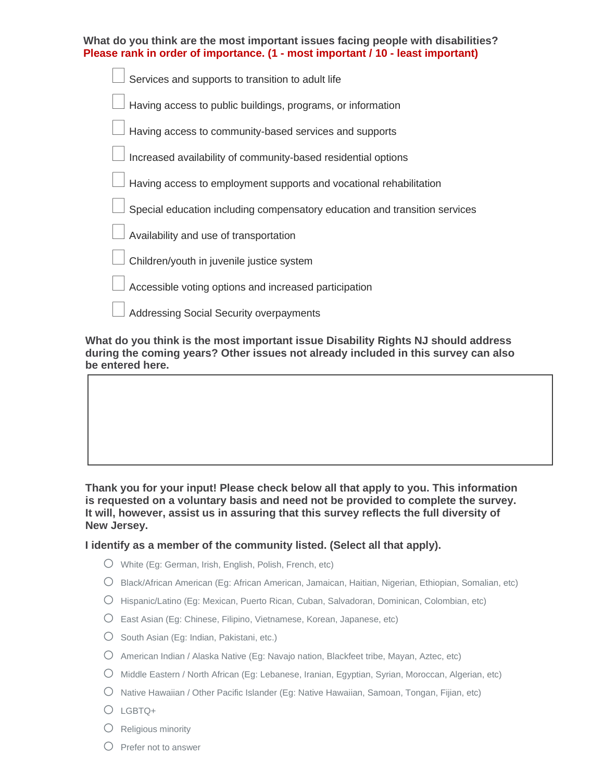| What do you think are the most important issues facing people with disabilities?<br>Please rank in order of importance. (1 - most important / 10 - least important) |
|---------------------------------------------------------------------------------------------------------------------------------------------------------------------|
| Services and supports to transition to adult life                                                                                                                   |
| Having access to public buildings, programs, or information                                                                                                         |
| Having access to community-based services and supports                                                                                                              |
| Increased availability of community-based residential options                                                                                                       |
| Having access to employment supports and vocational rehabilitation                                                                                                  |
| Special education including compensatory education and transition services                                                                                          |
| Availability and use of transportation                                                                                                                              |
| Children/youth in juvenile justice system                                                                                                                           |
| Accessible voting options and increased participation                                                                                                               |
| <b>Addressing Social Security overpayments</b>                                                                                                                      |

**What do you think is the most important issue Disability Rights NJ should address during the coming years? Other issues not already included in this survey can also be entered here.**

**Thank you for your input! Please check below all that apply to you. This information is requested on a voluntary basis and need not be provided to complete the survey. It will, however, assist us in assuring that this survey reflects the full diversity of New Jersey.**

## **I identify as a member of the community listed. (Select all that apply).**

- o White (Eg: German, Irish, English, Polish, French, etc)
- o Black/African American (Eg: African American, Jamaican, Haitian, Nigerian, Ethiopian, Somalian, etc)
- o Hispanic/Latino (Eg: Mexican, Puerto Rican, Cuban, Salvadoran, Dominican, Colombian, etc)
- $\bigcirc$  East Asian (Eg: Chinese, Filipino, Vietnamese, Korean, Japanese, etc)
- $\bigcirc$  South Asian (Eg: Indian, Pakistani, etc.)
- o American Indian / Alaska Native (Eg: Navajo nation, Blackfeet tribe, Mayan, Aztec, etc)
- o Middle Eastern / North African (Eg: Lebanese, Iranian, Egyptian, Syrian, Moroccan, Algerian, etc)
- $\bigcirc$  Native Hawaiian / Other Pacific Islander (Eg: Native Hawaiian, Samoan, Tongan, Fijian, etc)
- o LGBTQ+
- $\bigcirc$  Religious minority
- $O$  Prefer not to answer